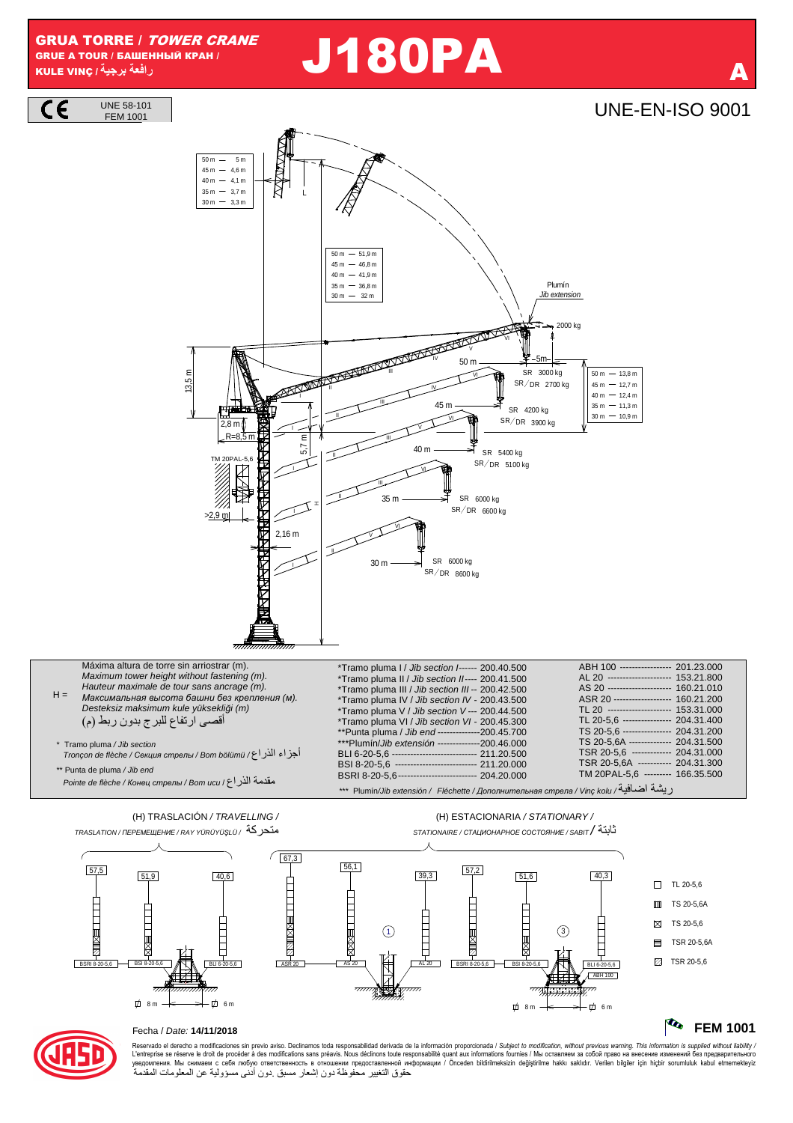**GRUA TORRE / TOWER CRANE** GRUE A TOUR / БАШЕННЫЙ КРАН / رافعة برجية/ KULE VINC

**UNE 58-101** 

## **J180PA**

## **UNE-EN-ISO 9001**



Reservado el derecho a modificaciones sin previo aviso. Declinamos toda responsabilidad derivada de la información proporcionada / Subject to modification, without previous warning. This information is supplied without li حقوق التغيير محفوظة دون إشعار مسبق دون أدنى مسؤولية عن المعلومات المقدمة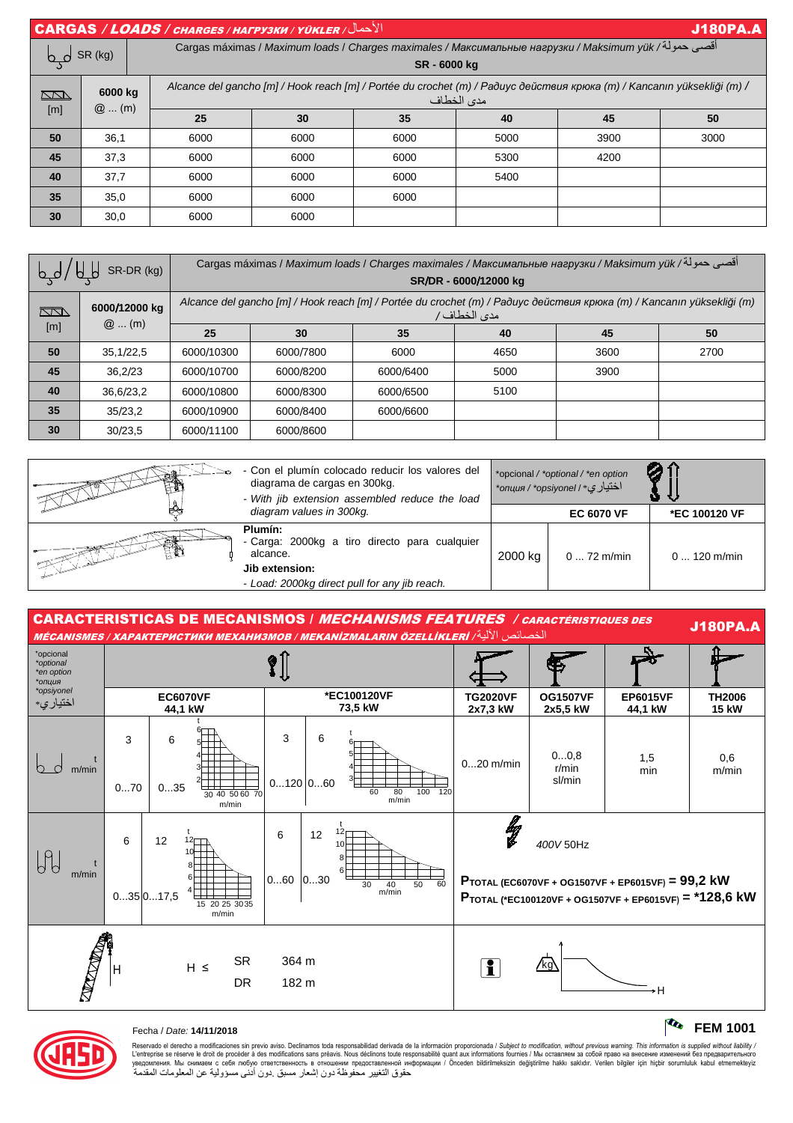| <b>CARGAS / LOADS / CHARGES / HAFPY3KW / YÜKLER / JUSTER</b><br><b>J180PA.A</b> |                    |      |                                                                                                                                       |      |      |      |      |  |  |  |
|---------------------------------------------------------------------------------|--------------------|------|---------------------------------------------------------------------------------------------------------------------------------------|------|------|------|------|--|--|--|
| by SR (kg)                                                                      |                    |      | أقصى حمولة/ Cargas máximas / Maximum loads / Charges maximales / Максимальные нагрузки / Maksimum yük<br>SR-6000 kg                   |      |      |      |      |  |  |  |
| <b>RN</b><br>[m]                                                                | 6000 kg<br>$@$ (m) |      | Alcance del gancho [m] / Hook reach [m] / Portée du crochet (m) / Радиус действия крюка (m) / Kancanın yüksekliği (m) /<br>مدى الخطاف |      |      |      |      |  |  |  |
|                                                                                 |                    | 25   | 30                                                                                                                                    | 35   | 40   | 45   | 50   |  |  |  |
| 50                                                                              | 36,1               | 6000 | 6000                                                                                                                                  | 6000 | 5000 | 3900 | 3000 |  |  |  |
| 45                                                                              | 37,3               | 6000 | 6000                                                                                                                                  | 6000 | 5300 | 4200 |      |  |  |  |
| 40                                                                              | 37,7               | 6000 | 6000                                                                                                                                  | 6000 | 5400 |      |      |  |  |  |
| 35                                                                              | 35,0               | 6000 | 6000                                                                                                                                  | 6000 |      |      |      |  |  |  |
| 30                                                                              | 30,0               | 6000 | 6000                                                                                                                                  |      |      |      |      |  |  |  |

| SR-DR (kg)         |                          | أقصى حمولة/ Cargas máximas / Maximum loads / Charges maximales / Максимальные нагрузки / Maksimum yük<br>SR/DR - 6000/12000 kg       |           |           |      |      |      |  |
|--------------------|--------------------------|--------------------------------------------------------------------------------------------------------------------------------------|-----------|-----------|------|------|------|--|
| <u>Nati</u><br>[m] | 6000/12000 kg<br>$@$ (m) | Alcance del gancho [m] / Hook reach [m] / Portée du crochet (m) / Paðuyc действия крюка (m) / Kancanın yüksekliği (m)<br>مدى الخطاف/ |           |           |      |      |      |  |
|                    |                          | 25                                                                                                                                   | 30        | 35        | 40   | 45   | 50   |  |
| 50                 | 35,1/22,5                | 6000/10300                                                                                                                           | 6000/7800 | 6000      | 4650 | 3600 | 2700 |  |
| 45                 | 36.2/23                  | 6000/10700                                                                                                                           | 6000/8200 | 6000/6400 | 5000 | 3900 |      |  |
| 40                 | 36,6/23,2                | 6000/10800                                                                                                                           | 6000/8300 | 6000/6500 | 5100 |      |      |  |
| 35                 | 35/23,2                  | 6000/10900                                                                                                                           | 6000/8400 | 6000/6600 |      |      |      |  |
| 30                 | 30/23.5                  | 6000/11100                                                                                                                           | 6000/8600 |           |      |      |      |  |







Reservado el derecho a modificaciones sin previo aviso. Declinamos toda responsabilidad derivada de la información proporcionada / Subjec*t to modification, without previous warning. This information is supplied without l* حقوق التغيير محفوظة دون إشعار مسبق دون أدنى مسؤولية عن المعلومات المقدمة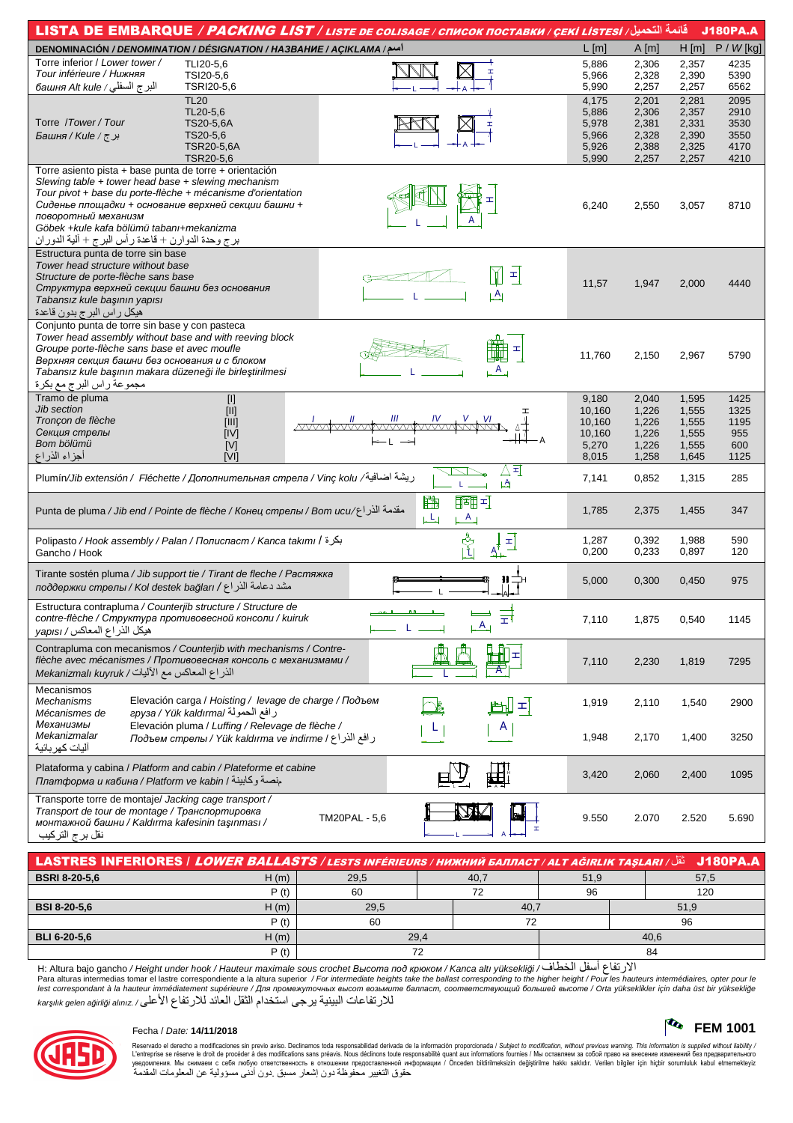|                                                                                                                                                                                                                                                                                                                                                                  |                                                                                                             | <u>قائمة التحميل/ LISTA DE EMBARQUE / PACKING LIST / LISTE DE COLISAGE / CПИСОК ПОСТАВКИ / ÇEKİ LISTESİ</u> |                  |                |                | <b>J180PA.A</b> |
|------------------------------------------------------------------------------------------------------------------------------------------------------------------------------------------------------------------------------------------------------------------------------------------------------------------------------------------------------------------|-------------------------------------------------------------------------------------------------------------|-------------------------------------------------------------------------------------------------------------|------------------|----------------|----------------|-----------------|
| اسم/ DENOMINACIÓN / DENOMINATION / DÉSIGNATION / HA3BAHИE / AÇIKLAMA                                                                                                                                                                                                                                                                                             |                                                                                                             |                                                                                                             | $L$ [m]          | A[m]           | $H$ [m]        | $P / W$ [kg]    |
| Torre inferior / Lower tower /                                                                                                                                                                                                                                                                                                                                   | TLI20-5,6                                                                                                   |                                                                                                             | 5,886            | 2,306          | 2,357          | 4235            |
| Tour inférieure / Нижняя                                                                                                                                                                                                                                                                                                                                         | TSI20-5,6                                                                                                   |                                                                                                             | 5,966            | 2,328          | 2,390          | 5390            |
| البرج السفلي / башня Alt kule                                                                                                                                                                                                                                                                                                                                    | TSRI20-5,6<br><b>TL20</b>                                                                                   |                                                                                                             | 5,990<br>4,175   | 2,257<br>2,201 | 2,257<br>2,281 | 6562<br>2095    |
|                                                                                                                                                                                                                                                                                                                                                                  | TL20-5,6                                                                                                    |                                                                                                             | 5,886            | 2,306          | 2,357          | 2910            |
| Torre / Tower / Tour                                                                                                                                                                                                                                                                                                                                             | TS20-5,6A                                                                                                   |                                                                                                             | 5,978            | 2,381          | 2,331          | 3530            |
| برج/Kule/ بر                                                                                                                                                                                                                                                                                                                                                     | TS20-5,6                                                                                                    |                                                                                                             | 5,966            | 2,328          | 2,390          | 3550            |
|                                                                                                                                                                                                                                                                                                                                                                  | <b>TSR20-5,6A</b>                                                                                           |                                                                                                             | 5,926            | 2,388          | 2,325          | 4170            |
|                                                                                                                                                                                                                                                                                                                                                                  | TSR20-5,6                                                                                                   |                                                                                                             | 5,990            | 2,257          | 2,257          | 4210            |
| Torre asiento pista + base punta de torre + orientación<br>Slewing table $+$ tower head base $+$ slewing mechanism<br>Tour pivot + base du porte-flèche + mécanisme d'orientation<br>Сиденье площадки + основание верхней секции башни +<br>поворотный механизм<br>Göbek +kule kafa bölümü tabanı+mekanizma<br>برج وحدة الدوارن + قاعدة رأس البرج + ألية الدوران |                                                                                                             |                                                                                                             | 6,240            | 2,550          | 3,057          | 8710            |
| Estructura punta de torre sin base                                                                                                                                                                                                                                                                                                                               |                                                                                                             |                                                                                                             |                  |                |                |                 |
| Tower head structure without base<br>Structure de porte-flèche sans base<br>Структура верхней секции башни без основания<br>Tabansız kule başının yapısı<br>هيكل راس البرج بدون قاعدة                                                                                                                                                                            |                                                                                                             | Ĭ<br>픠<br>LĄ                                                                                                | 11,57            | 1,947          | 2,000          | 4440            |
| Conjunto punta de torre sin base y con pasteca<br>Tower head assembly without base and with reeving block<br>Groupe porte-flèche sans base et avec moufle<br>Верхняя секция башни без основания и с блоком<br>Tabansız kule başının makara düzeneği ile birleştirilmesi<br>مجموعة راس البرج مع بكرة                                                              |                                                                                                             | ェ                                                                                                           | 11,760           | 2,150          | 2,967          | 5790            |
| Tramo de pluma                                                                                                                                                                                                                                                                                                                                                   | $[1]$                                                                                                       |                                                                                                             | 9,180            | 2,040          | 1,595          | 1425            |
| Jib section                                                                                                                                                                                                                                                                                                                                                      | $[11]$                                                                                                      |                                                                                                             | 10,160           | 1,226          | 1,555          | 1325            |
| Tronçon de flèche<br>Секция стрелы                                                                                                                                                                                                                                                                                                                               | [III]<br>[IV]                                                                                               |                                                                                                             | 10,160<br>10,160 | 1,226<br>1,226 | 1,555<br>1,555 | 1195<br>955     |
| Bom bölümü                                                                                                                                                                                                                                                                                                                                                       | [V]                                                                                                         |                                                                                                             | 5,270            | 1,226          | 1,555          | 600             |
| أجزاء الذراع                                                                                                                                                                                                                                                                                                                                                     | [V]                                                                                                         |                                                                                                             | 8,015            | 1,258          | 1,645          | 1125            |
| ريشة اضافية/ Plumín/Jib extensión /  Fléchette / Дополнительная стрела / Vinç kolu                                                                                                                                                                                                                                                                               |                                                                                                             | △죄<br>LД                                                                                                    | 7,141            | 0,852          | 1,315          | 285             |
| مقدمة الذر Punta de pluma / Jib end / Pointe de flèche / Конец стрелы / Bom ucu/عقدمة الذر اع                                                                                                                                                                                                                                                                    |                                                                                                             | 路<br>國可<br>بطل<br>$\overline{A}$                                                                            | 1,785            | 2,375          | 1,455          | 347             |
| Polipasto / Hook assembly / Palan / Полиспаст / Kanca takımı / بكرة                                                                                                                                                                                                                                                                                              |                                                                                                             | g<br>11                                                                                                     | 1,287            | 0,392          | 1,988          | 590             |
| Gancho / Hook                                                                                                                                                                                                                                                                                                                                                    |                                                                                                             | $\frac{1}{\Delta + 1}$                                                                                      | 0,200            | 0,233          | 0,897          | 120             |
| Tirante sostén pluma / Jib support tie / Tirant de fleche / Растяжка<br>مشد دعامة الذر اع / поддержки стрелы / КоІ destek bağları                                                                                                                                                                                                                                |                                                                                                             |                                                                                                             | 5,000            | 0,300          | 0,450          | 975             |
| Estructura contrapluma / Counterjib structure / Structure de<br>contre-flèche / Структура противовесной консоли / kuiruk<br>ميكل الذراع المعاكس/ yapısı                                                                                                                                                                                                          |                                                                                                             | Ξ<br>$A_{\perp}$                                                                                            | 7,110            | 1,875          | 0,540          | 1145            |
| Contrapluma con mecanismos / Counterjib with mechanisms / Contre-<br>flèche avec mécanismes / Противовесная консоль с механизмами /<br>الذراع المعاكس مع الآليات/ Mekanizmalı kuyruk                                                                                                                                                                             |                                                                                                             |                                                                                                             | 7,110            | 2,230          | 1,819          | 7295            |
| Mecanismos<br>Mechanisms<br>Mécanismes de                                                                                                                                                                                                                                                                                                                        | Elevación carga / Hoisting / levage de charge / Подъем<br>رافع الحمولة /epyзa / Yük kaldırma                | 피                                                                                                           | 1,919            | 2,110          | 1,540          | 2900            |
| Механизмы<br>Mekanizmalar<br>آليات كهر بائية                                                                                                                                                                                                                                                                                                                     | Elevación pluma / Luffing / Relevage de flèche /<br>ر افع الذر اع / Подъем стрелы / Yük kaldırma ve indirme | A                                                                                                           | 1,948            | 2,170          | 1,400          | 3250            |
| Plataforma y cabina / Platform and cabin / Plateforme et cabine<br>Глатформа и кабина / Platform ve kabin / منصة وكابينة                                                                                                                                                                                                                                         |                                                                                                             |                                                                                                             | 3,420            | 2,060          | 2,400          | 1095            |
| Transporte torre de montaje/ Jacking cage transport /<br>Transport de tour de montage / Транспортировка<br>монтажной башни / Kaldırma kafesinin taşınması /<br>نقل برج التركيب                                                                                                                                                                                   |                                                                                                             | <b>TM20PAL - 5,6</b>                                                                                        | 9.550            | 2.070          | 2.520          | 5.690           |
|                                                                                                                                                                                                                                                                                                                                                                  |                                                                                                             |                                                                                                             |                  |                |                |                 |

| <b>BSRI 8-20-5.6</b> | H(m) | 29,5 | 51.9<br>40.7 |      | 57,5 |  |  |
|----------------------|------|------|--------------|------|------|--|--|
|                      | P(t) | 60   |              | 96   | 120  |  |  |
| <b>BSI 8-20-5.6</b>  | H(m) | 29,5 | 40,7         |      | 51,9 |  |  |
|                      | P(t) | 60   |              |      | 96   |  |  |
| <b>BLI 6-20-5.6</b>  | H(m) | 29,4 |              | 40.6 |      |  |  |
|                      | P(t) |      |              | 84   |      |  |  |

H: Altura bajo gancho / Height under hook / Hauteur maximale sous crochet Высота под крюком / Kanca altı yüksekliği / الارتفاع أسفل الخطاف/ H: Altura bajo gancho / Height under hook / Hauteur maximale sous crochet Высота للارتَفَاعاتُ الْبِينِيةِ يَرِجَى اسْتَخدامُ الثقلُ الْعَائِد للارتفاعِ الأعلى/ karşılık gelen ağırlığı alınız



## Fecha / Date: 14/11/2018

Reservado el derecho a modificaciones sin previo aviso. Declinamos toda responsabilidad derivada de la información proporcionada / Subject to modification, without previous warning. This information is supplied without l

**TA** FEM 1001